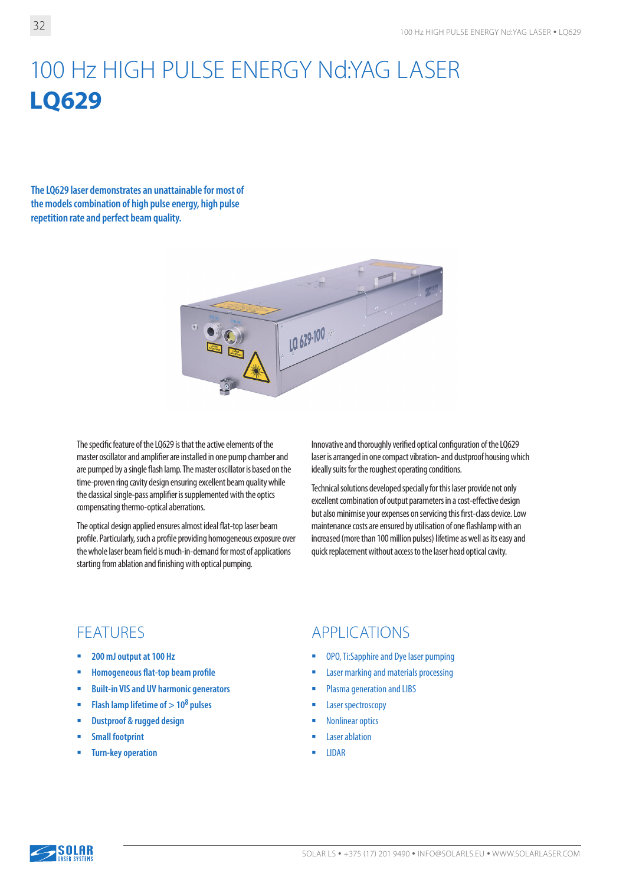# 100 Hz HIGH PULSE ENERGY Nd:YAG LASER **LQ629**

**The LQ629 laser demonstrates an unattainable for most of the models combination of high pulse energy, high pulse repetition rate and perfect beam quality.** 



The specific feature of the LQ629 is that the active elements of the master oscillator and amplifier are installed in one pump chamber and are pumped by a single flash lamp. The master oscillator is based on the time-proven ring cavity design ensuring excellent beam quality while the classical single-pass amplifier is supplemented with the optics compensating thermo-optical aberrations.

The optical design applied ensures almost ideal flat-top laser beam profile. Particularly, such a profile providing homogeneous exposure over the whole laser beam field is much-in-demand for most of applications starting from ablation and finishing with optical pumping.

Innovative and thoroughly verified optical configuration of the LQ629 laser is arranged in one compact vibration- and dustproof housing which ideally suits for the roughest operating conditions.

Technical solutions developed specially for this laser provide not only excellent combination of output parameters in a cost-effective design but also minimise your expenses on servicing this first-class device. Low maintenance costs are ensured by utilisation of one flashlamp with an increased (more than 100 million pulses) lifetime as well as its easy and quick replacement without access to the laser head optical cavity.

- **200 mJ output at 100 Hz**
- **Homogeneous flat-top beam profile**
- **Built-in VIS and UV harmonic generators**
- **Flash lamp lifetime of > 108 pulses**
- **Dustproof & rugged design**
- **Small footprint**
- **Turn-key operation**

### FEATURES APPLICATIONS

- **OPO, Ti:Sapphire and Dye laser pumping**
- **EXECUTE:** Laser marking and materials processing
- **Plasma generation and LIBS**
- **Laser spectroscopy**
- Nonlinear optics
- **Laser ablation**
- **LIDAR**